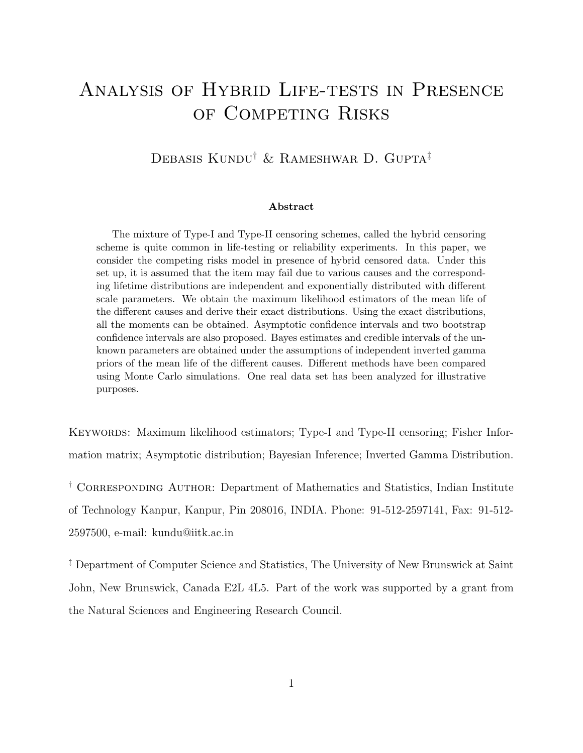# Analysis of Hybrid Life-tests in Presence of Competing Risks

### Debasis Kundu<sup>†</sup> & Rameshwar D. Gupta<sup>‡</sup>

#### Abstract

The mixture of Type-I and Type-II censoring schemes, called the hybrid censoring scheme is quite common in life-testing or reliability experiments. In this paper, we consider the competing risks model in presence of hybrid censored data. Under this set up, it is assumed that the item may fail due to various causes and the corresponding lifetime distributions are independent and exponentially distributed with different scale parameters. We obtain the maximum likelihood estimators of the mean life of the different causes and derive their exact distributions. Using the exact distributions, all the moments can be obtained. Asymptotic confidence intervals and two bootstrap confidence intervals are also proposed. Bayes estimates and credible intervals of the unknown parameters are obtained under the assumptions of independent inverted gamma priors of the mean life of the different causes. Different methods have been compared using Monte Carlo simulations. One real data set has been analyzed for illustrative purposes.

KEYWORDS: Maximum likelihood estimators; Type-I and Type-II censoring; Fisher Information matrix; Asymptotic distribution; Bayesian Inference; Inverted Gamma Distribution.

<sup>†</sup> CORRESPONDING AUTHOR: Department of Mathematics and Statistics, Indian Institute of Technology Kanpur, Kanpur, Pin 208016, INDIA. Phone: 91-512-2597141, Fax: 91-512- 2597500, e-mail: kundu@iitk.ac.in

<sup>‡</sup> Department of Computer Science and Statistics, The University of New Brunswick at Saint John, New Brunswick, Canada E2L 4L5. Part of the work was supported by a grant from the Natural Sciences and Engineering Research Council.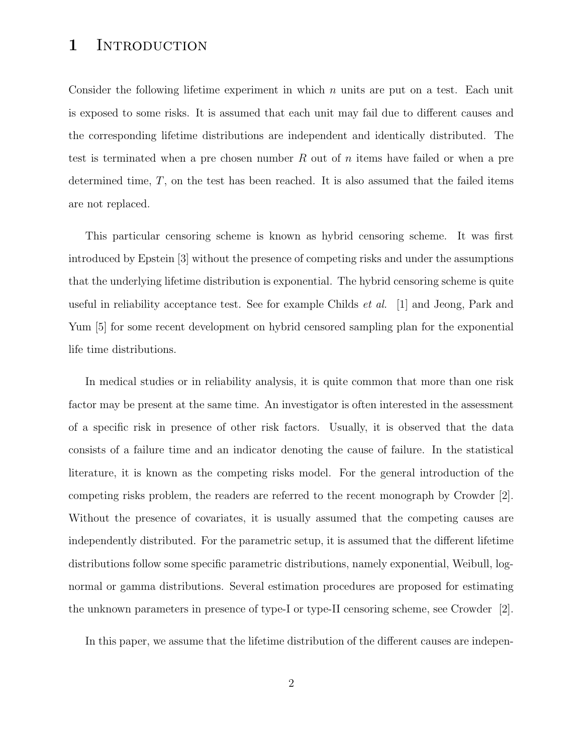### 1 INTRODUCTION

Consider the following lifetime experiment in which  $n$  units are put on a test. Each unit is exposed to some risks. It is assumed that each unit may fail due to different causes and the corresponding lifetime distributions are independent and identically distributed. The test is terminated when a pre chosen number  $R$  out of  $n$  items have failed or when a pre determined time,  $T$ , on the test has been reached. It is also assumed that the failed items are not replaced.

This particular censoring scheme is known as hybrid censoring scheme. It was first introduced by Epstein [3] without the presence of competing risks and under the assumptions that the underlying lifetime distribution is exponential. The hybrid censoring scheme is quite useful in reliability acceptance test. See for example Childs et al. [1] and Jeong, Park and Yum [5] for some recent development on hybrid censored sampling plan for the exponential life time distributions.

In medical studies or in reliability analysis, it is quite common that more than one risk factor may be present at the same time. An investigator is often interested in the assessment of a specific risk in presence of other risk factors. Usually, it is observed that the data consists of a failure time and an indicator denoting the cause of failure. In the statistical literature, it is known as the competing risks model. For the general introduction of the competing risks problem, the readers are referred to the recent monograph by Crowder [2]. Without the presence of covariates, it is usually assumed that the competing causes are independently distributed. For the parametric setup, it is assumed that the different lifetime distributions follow some specific parametric distributions, namely exponential, Weibull, lognormal or gamma distributions. Several estimation procedures are proposed for estimating the unknown parameters in presence of type-I or type-II censoring scheme, see Crowder [2].

In this paper, we assume that the lifetime distribution of the different causes are indepen-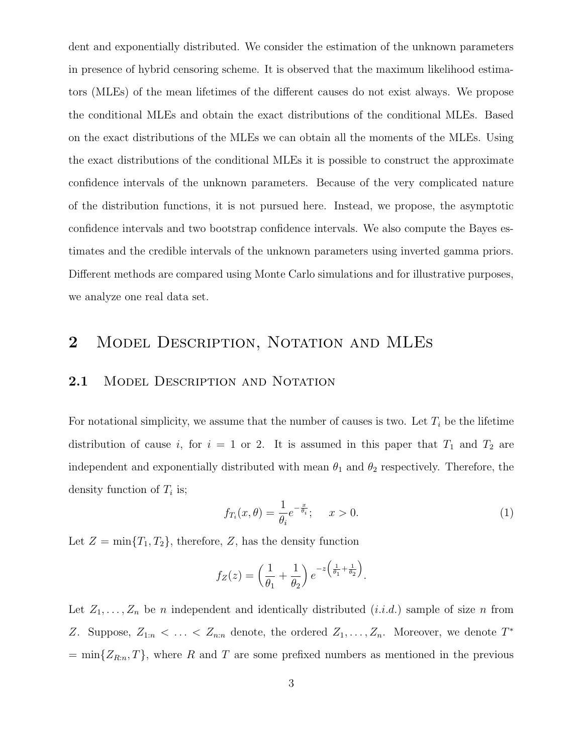dent and exponentially distributed. We consider the estimation of the unknown parameters in presence of hybrid censoring scheme. It is observed that the maximum likelihood estimators (MLEs) of the mean lifetimes of the different causes do not exist always. We propose the conditional MLEs and obtain the exact distributions of the conditional MLEs. Based on the exact distributions of the MLEs we can obtain all the moments of the MLEs. Using the exact distributions of the conditional MLEs it is possible to construct the approximate confidence intervals of the unknown parameters. Because of the very complicated nature of the distribution functions, it is not pursued here. Instead, we propose, the asymptotic confidence intervals and two bootstrap confidence intervals. We also compute the Bayes estimates and the credible intervals of the unknown parameters using inverted gamma priors. Different methods are compared using Monte Carlo simulations and for illustrative purposes, we analyze one real data set.

## 2 MODEL DESCRIPTION, NOTATION AND MLES

#### 2.1 MODEL DESCRIPTION AND NOTATION

For notational simplicity, we assume that the number of causes is two. Let  $T_i$  be the lifetime distribution of cause i, for  $i = 1$  or 2. It is assumed in this paper that  $T_1$  and  $T_2$  are independent and exponentially distributed with mean  $\theta_1$  and  $\theta_2$  respectively. Therefore, the density function of  $T_i$  is;

$$
f_{T_i}(x,\theta) = \frac{1}{\theta_i} e^{-\frac{x}{\theta_i}}; \quad x > 0.
$$
 (1)

Let  $Z = \min\{T_1, T_2\}$ , therefore, Z, has the density function

$$
f_Z(z) = \left(\frac{1}{\theta_1} + \frac{1}{\theta_2}\right) e^{-z\left(\frac{1}{\theta_1} + \frac{1}{\theta_2}\right)}.
$$

Let  $Z_1, \ldots, Z_n$  be n independent and identically distributed  $(i.i.d.)$  sample of size n from Z. Suppose,  $Z_{1:n} < \ldots < Z_{n:n}$  denote, the ordered  $Z_1, \ldots, Z_n$ . Moreover, we denote  $T^*$  $=\min\{Z_{R:n}, T\}$ , where R and T are some prefixed numbers as mentioned in the previous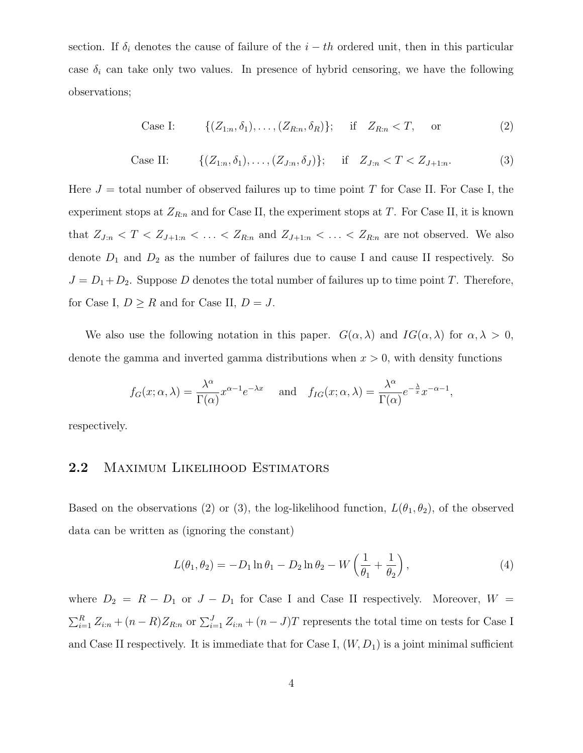section. If  $\delta_i$  denotes the cause of failure of the  $i - th$  ordered unit, then in this particular case  $\delta_i$  can take only two values. In presence of hybrid censoring, we have the following observations;

Case I: 
$$
\{(Z_{1:n}, \delta_1), \ldots, (Z_{R:n}, \delta_R)\};
$$
 if  $Z_{R:n} < T$ , or (2)

Case II: 
$$
\{(Z_{1:n}, \delta_1), \ldots, (Z_{J:n}, \delta_J)\};
$$
 if  $Z_{J:n} < T < Z_{J+1:n}.$  (3)

Here  $J =$  total number of observed failures up to time point T for Case II. For Case I, the experiment stops at  $Z_{R:n}$  and for Case II, the experiment stops at T. For Case II, it is known that  $Z_{J:n} < T < Z_{J+1:n} < \ldots < Z_{R:n}$  and  $Z_{J+1:n} < \ldots < Z_{R:n}$  are not observed. We also denote  $D_1$  and  $D_2$  as the number of failures due to cause I and cause II respectively. So  $J = D_1 + D_2$ . Suppose D denotes the total number of failures up to time point T. Therefore, for Case I,  $D \geq R$  and for Case II,  $D = J$ .

We also use the following notation in this paper.  $G(\alpha, \lambda)$  and  $IG(\alpha, \lambda)$  for  $\alpha, \lambda > 0$ , denote the gamma and inverted gamma distributions when  $x > 0$ , with density functions

$$
f_G(x; \alpha, \lambda) = \frac{\lambda^{\alpha}}{\Gamma(\alpha)} x^{\alpha - 1} e^{-\lambda x}
$$
 and  $f_{IG}(x; \alpha, \lambda) = \frac{\lambda^{\alpha}}{\Gamma(\alpha)} e^{-\frac{\lambda}{x}} x^{-\alpha - 1}$ ,

respectively.

### 2.2 Maximum Likelihood Estimators

Based on the observations (2) or (3), the log-likelihood function,  $L(\theta_1, \theta_2)$ , of the observed data can be written as (ignoring the constant)

$$
L(\theta_1, \theta_2) = -D_1 \ln \theta_1 - D_2 \ln \theta_2 - W \left( \frac{1}{\theta_1} + \frac{1}{\theta_2} \right),
$$
 (4)

where  $D_2 = R - D_1$  or  $J - D_1$  for Case I and Case II respectively. Moreover,  $W =$  $\sum_{i=1}^{R} Z_{i:n} + (n - R)Z_{R:n}$  or  $\sum_{i=1}^{J} Z_{i:n} + (n - J)T$  represents the total time on tests for Case I and Case II respectively. It is immediate that for Case I,  $(W, D_1)$  is a joint minimal sufficient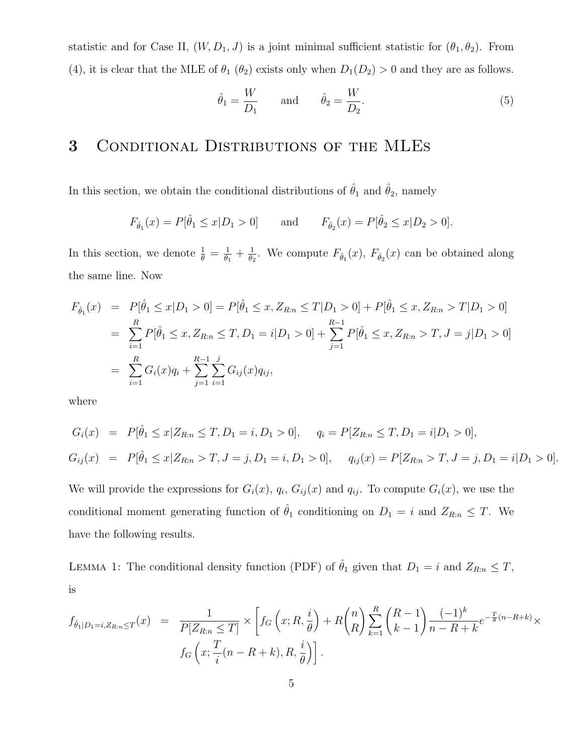statistic and for Case II,  $(W, D_1, J)$  is a joint minimal sufficient statistic for  $(\theta_1, \theta_2)$ . From (4), it is clear that the MLE of  $\theta_1$  ( $\theta_2$ ) exists only when  $D_1(D_2) > 0$  and they are as follows.

$$
\hat{\theta}_1 = \frac{W}{D_1} \quad \text{and} \quad \hat{\theta}_2 = \frac{W}{D_2}.
$$
 (5)

# 3 Conditional Distributions of the MLEs

In this section, we obtain the conditional distributions of  $\hat{\theta}_1$  and  $\hat{\theta}_2$ , namely

$$
F_{\hat{\theta}_1}(x) = P[\hat{\theta}_1 \le x | D_1 > 0]
$$
 and  $F_{\hat{\theta}_2}(x) = P[\hat{\theta}_2 \le x | D_2 > 0].$ 

In this section, we denote  $\frac{1}{\theta} = \frac{1}{\theta_1}$  $\frac{1}{\theta_1}+\frac{1}{\theta_2}$  $\frac{1}{\theta_2}$ . We compute  $F_{\hat{\theta}_1}(x)$ ,  $F_{\hat{\theta}_2}(x)$  can be obtained along the same line. Now

$$
F_{\hat{\theta}_1}(x) = P[\hat{\theta}_1 \le x | D_1 > 0] = P[\hat{\theta}_1 \le x, Z_{R:n} \le T | D_1 > 0] + P[\hat{\theta}_1 \le x, Z_{R:n} > T | D_1 > 0]
$$
  
\n
$$
= \sum_{i=1}^R P[\hat{\theta}_1 \le x, Z_{R:n} \le T, D_1 = i | D_1 > 0] + \sum_{j=1}^{R-1} P[\hat{\theta}_1 \le x, Z_{R:n} > T, J = j | D_1 > 0]
$$
  
\n
$$
= \sum_{i=1}^R G_i(x)q_i + \sum_{j=1}^{R-1} \sum_{i=1}^j G_{ij}(x)q_{ij},
$$

where

$$
G_i(x) = P[\hat{\theta}_1 \le x | Z_{R:n} \le T, D_1 = i, D_1 > 0], \quad q_i = P[Z_{R:n} \le T, D_1 = i | D_1 > 0],
$$
  
\n
$$
G_{ij}(x) = P[\hat{\theta}_1 \le x | Z_{R:n} > T, J = j, D_1 = i, D_1 > 0], \quad q_{ij}(x) = P[Z_{R:n} > T, J = j, D_1 = i | D_1 > 0].
$$

We will provide the expressions for  $G_i(x)$ ,  $q_i$ ,  $G_{ij}(x)$  and  $q_{ij}$ . To compute  $G_i(x)$ , we use the conditional moment generating function of  $\hat{\theta}_1$  conditioning on  $D_1 = i$  and  $Z_{R:n} \leq T$ . We have the following results.

LEMMA 1: The conditional density function (PDF) of  $\hat{\theta}_1$  given that  $D_1 = i$  and  $Z_{R:n} \leq T$ , is

$$
f_{\hat{\theta}_1|D_1=i,Z_{R:n}\leq T}(x) = \frac{1}{P[Z_{R:n}\leq T]} \times \left[ f_G\left(x;R,\frac{i}{\theta}\right) + R\binom{n}{R} \sum_{k=1}^R \binom{R-1}{k-1} \frac{(-1)^k}{n-R+k} e^{-\frac{T}{\theta}(n-R+k)} \times f_G\left(x; \frac{T}{i}(n-R+k), R, \frac{i}{\theta}\right) \right].
$$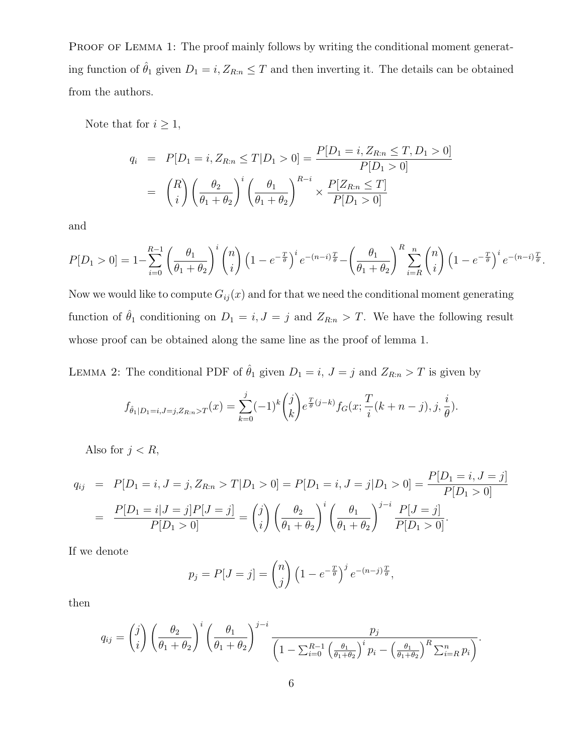PROOF OF LEMMA 1: The proof mainly follows by writing the conditional moment generating function of  $\hat{\theta}_1$  given  $D_1 = i, Z_{R:n} \leq T$  and then inverting it. The details can be obtained from the authors.

Note that for  $i\geq 1,$ 

$$
q_i = P[D_1 = i, Z_{R:n} \le T | D_1 > 0] = \frac{P[D_1 = i, Z_{R:n} \le T, D_1 > 0]}{P[D_1 > 0]}
$$

$$
= {R \choose i} \left(\frac{\theta_2}{\theta_1 + \theta_2}\right)^i \left(\frac{\theta_1}{\theta_1 + \theta_2}\right)^{R-i} \times \frac{P[Z_{R:n} \le T]}{P[D_1 > 0]}
$$

and

$$
P[D_1 > 0] = 1 - \sum_{i=0}^{R-1} \left(\frac{\theta_1}{\theta_1 + \theta_2}\right)^i \binom{n}{i} \left(1 - e^{-\frac{T}{\theta}}\right)^i e^{-(n-i)\frac{T}{\theta}} - \left(\frac{\theta_1}{\theta_1 + \theta_2}\right)^R \sum_{i=R}^n \binom{n}{i} \left(1 - e^{-\frac{T}{\theta}}\right)^i e^{-(n-i)\frac{T}{\theta}}.
$$

Now we would like to compute  $G_{ij}(x)$  and for that we need the conditional moment generating function of  $\hat{\theta}_1$  conditioning on  $D_1 = i, J = j$  and  $Z_{R:n} > T$ . We have the following result whose proof can be obtained along the same line as the proof of lemma 1.

LEMMA 2: The conditional PDF of  $\hat{\theta}_1$  given  $D_1 = i$ ,  $J = j$  and  $Z_{R:n} > T$  is given by

$$
f_{\hat{\theta}_1|D_1=i,J=j,Z_{R:n}>T}(x) = \sum_{k=0}^j (-1)^k {j \choose k} e^{\frac{T}{\theta}(j-k)} f_G(x; \frac{T}{i}(k+n-j), j, \frac{i}{\theta}).
$$

Also for  $j < R$ ,

$$
q_{ij} = P[D_1 = i, J = j, Z_{R:n} > T | D_1 > 0] = P[D_1 = i, J = j | D_1 > 0] = \frac{P[D_1 = i, J = j]}{P[D_1 > 0]}
$$
  

$$
= \frac{P[D_1 = i | J = j] P[J = j]}{P[D_1 > 0]} = {j \choose i} \left(\frac{\theta_2}{\theta_1 + \theta_2}\right)^i \left(\frac{\theta_1}{\theta_1 + \theta_2}\right)^{j-i} \frac{P[J = j]}{P[D_1 > 0]}.
$$

If we denote

$$
p_j = P[J = j] = {n \choose j} \left(1 - e^{-\frac{T}{\theta}}\right)^j e^{-(n-j)\frac{T}{\theta}},
$$

then

$$
q_{ij} = {j \choose i} \left(\frac{\theta_2}{\theta_1 + \theta_2}\right)^i \left(\frac{\theta_1}{\theta_1 + \theta_2}\right)^{j-i} \frac{p_j}{\left(1 - \sum_{i=0}^{R-1} \left(\frac{\theta_1}{\theta_1 + \theta_2}\right)^i p_i - \left(\frac{\theta_1}{\theta_1 + \theta_2}\right)^R \sum_{i=R}^n p_i\right)}.
$$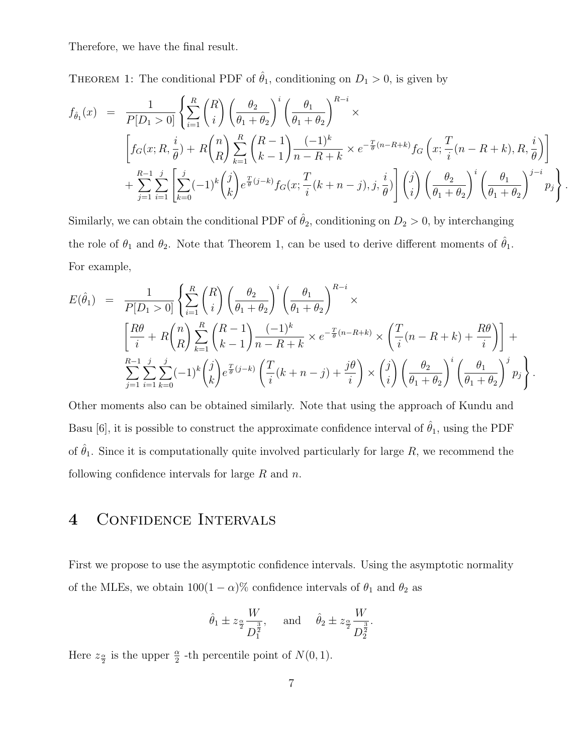Therefore, we have the final result.

THEOREM 1: The conditional PDF of  $\hat{\theta}_1$ , conditioning on  $D_1 > 0$ , is given by

$$
f_{\hat{\theta}_1}(x) = \frac{1}{P[D_1 > 0]} \left\{ \sum_{i=1}^R {R \choose i} \left( \frac{\theta_2}{\theta_1 + \theta_2} \right)^i \left( \frac{\theta_1}{\theta_1 + \theta_2} \right)^{R-i} \times \right\}
$$
  

$$
\left[ f_G(x; R, \frac{i}{\theta}) + R {n \choose R} \sum_{k=1}^R {R-1 \choose k-1} \frac{(-1)^k}{n-R+k} \times e^{-\frac{T}{\theta}(n-R+k)} f_G\left(x; \frac{T}{i}(n-R+k), R, \frac{i}{\theta}\right) \right]
$$
  

$$
+ \sum_{j=1}^{R-1} \sum_{i=1}^j \left[ \sum_{k=0}^j (-1)^k {j \choose k} e^{\frac{T}{\theta}(j-k)} f_G(x; \frac{T}{i}(k+n-j), j, \frac{i}{\theta}) \right] {j \choose i} \left( \frac{\theta_2}{\theta_1 + \theta_2} \right)^i \left( \frac{\theta_1}{\theta_1 + \theta_2} \right)^{j-i} p_j
$$

.

Similarly, we can obtain the conditional PDF of  $\hat{\theta}_2$ , conditioning on  $D_2 > 0$ , by interchanging the role of  $\theta_1$  and  $\theta_2$ . Note that Theorem 1, can be used to derive different moments of  $\hat{\theta}_1$ . For example,

$$
E(\hat{\theta}_{1}) = \frac{1}{P[D_{1} > 0]} \left\{ \sum_{i=1}^{R} {R \choose i} \left( \frac{\theta_{2}}{\theta_{1} + \theta_{2}} \right)^{i} \left( \frac{\theta_{1}}{\theta_{1} + \theta_{2}} \right)^{R-i} \times \right\}
$$
  

$$
\left[ \frac{R\theta}{i} + R {n \choose R} \sum_{k=1}^{R} {R-1 \choose k-1} \frac{(-1)^{k}}{n-R+k} \times e^{-\frac{T}{\theta}(n-R+k)} \times \left( \frac{T}{i} (n-R+k) + \frac{R\theta}{i} \right) \right] + \sum_{j=1}^{R-1} \sum_{i=1}^{j} \sum_{k=0}^{j} (-1)^{k} {j \choose k} e^{\frac{T}{\theta}(j-k)} \left( \frac{T}{i} (k+n-j) + \frac{j\theta}{i} \right) \times {j \choose i} \left( \frac{\theta_{2}}{\theta_{1} + \theta_{2}} \right)^{i} \left( \frac{\theta_{1}}{\theta_{1} + \theta_{2}} \right)^{j} p_{j}.
$$

Other moments also can be obtained similarly. Note that using the approach of Kundu and Basu [6], it is possible to construct the approximate confidence interval of  $\hat{\theta}_1$ , using the PDF of  $\hat{\theta}_1$ . Since it is computationally quite involved particularly for large R, we recommend the following confidence intervals for large  $R$  and  $n$ .

### 4 Confidence Intervals

First we propose to use the asymptotic confidence intervals. Using the asymptotic normality of the MLEs, we obtain  $100(1 - \alpha)\%$  confidence intervals of  $\theta_1$  and  $\theta_2$  as

$$
\hat{\theta}_1 \pm z_{\frac{\alpha}{2}} \frac{W}{D_1^{\frac{3}{2}}}, \quad \text{and} \quad \hat{\theta}_2 \pm z_{\frac{\alpha}{2}} \frac{W}{D_2^{\frac{3}{2}}}.
$$

Here  $z_{\frac{\alpha}{2}}$  is the upper  $\frac{\alpha}{2}$  -th percentile point of  $N(0, 1)$ .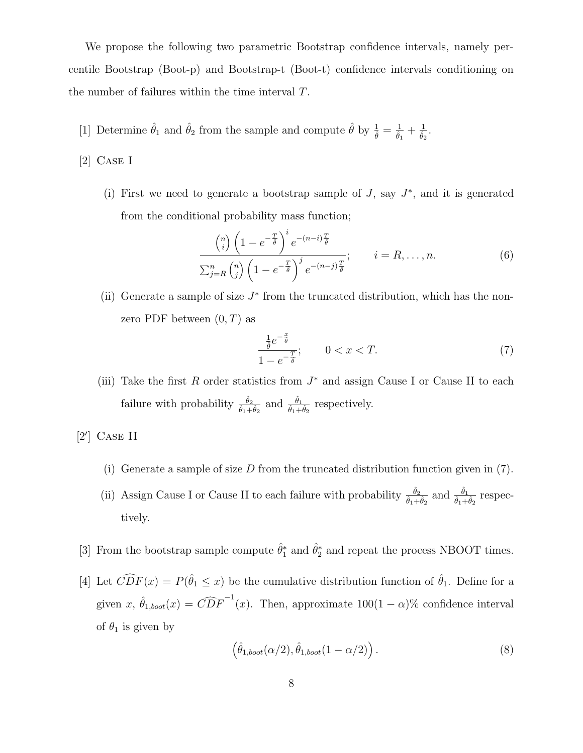We propose the following two parametric Bootstrap confidence intervals, namely percentile Bootstrap (Boot-p) and Bootstrap-t (Boot-t) confidence intervals conditioning on the number of failures within the time interval T.

[1] Determine  $\hat{\theta}_1$  and  $\hat{\theta}_2$  from the sample and compute  $\hat{\theta}$  by  $\frac{1}{\hat{\theta}} = \frac{1}{\hat{\theta}_1} + \frac{1}{\hat{\theta}_2}$ .

[2] Case I

(i) First we need to generate a bootstrap sample of  $J$ , say  $J^*$ , and it is generated from the conditional probability mass function;

$$
\frac{\binom{n}{i}\left(1-e^{-\frac{T}{\hat{\theta}}}\right)^{i}e^{-(n-i)\frac{T}{\hat{\theta}}}}{\sum_{j=R}^{n}\binom{n}{j}\left(1-e^{-\frac{T}{\hat{\theta}}}\right)^{j}e^{-(n-j)\frac{T}{\hat{\theta}}}}; \qquad i=R,\ldots,n.
$$
\n(6)

(ii) Generate a sample of size  $J^*$  from the truncated distribution, which has the nonzero PDF between  $(0, T)$  as

$$
\frac{\frac{1}{\hat{\theta}}e^{-\frac{x}{\hat{\theta}}}}{1 - e^{-\frac{T}{\hat{\theta}}}}; \qquad 0 < x < T. \tag{7}
$$

(iii) Take the first R order statistics from  $J^*$  and assign Cause I or Cause II to each failure with probability  $\frac{\hat{\theta}_2}{\hat{\theta}_1 + \hat{\theta}_2}$  and  $\frac{\hat{\theta}_1}{\hat{\theta}_1 + \hat{\theta}_2}$  respectively.

 $[2']$  CASE II

- (i) Generate a sample of size D from the truncated distribution function given in  $(7)$ .
- (ii) Assign Cause I or Cause II to each failure with probability  $\frac{\hat{\theta}_2}{\hat{\theta}_1 + \hat{\theta}_2}$  and  $\frac{\hat{\theta}_1}{\hat{\theta}_1 + \hat{\theta}_2}$  respectively.
- [3] From the bootstrap sample compute  $\hat{\theta}_1^*$  and  $\hat{\theta}_2^*$  and repeat the process NBOOT times.
- [4] Let  $\widehat{CDF}(x) = P(\hat{\theta}_1 \leq x)$  be the cumulative distribution function of  $\hat{\theta}_1$ . Define for a given x,  $\hat{\theta}_{1,boot}(x) = \widehat{CDF}^{-1}(x)$ . Then, approximate  $100(1-\alpha)\%$  confidence interval of  $\theta_1$  is given by

$$
\left(\hat{\theta}_{1,boot}(\alpha/2), \hat{\theta}_{1,boot}(1-\alpha/2)\right). \tag{8}
$$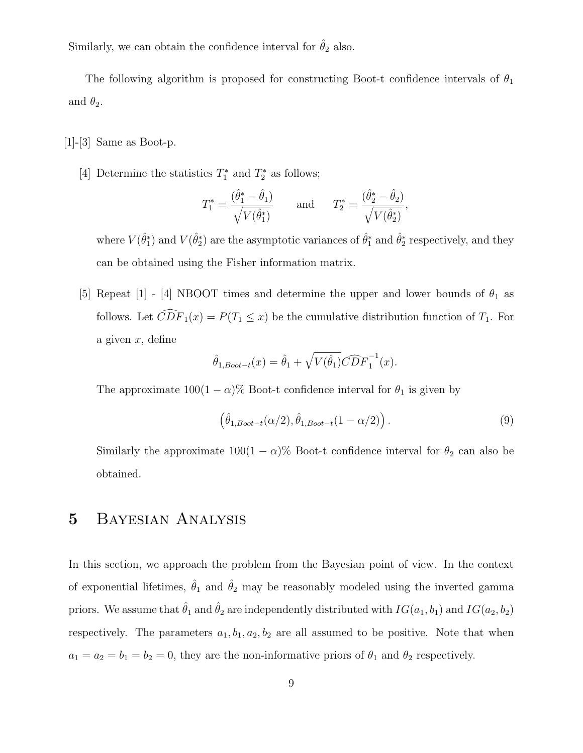Similarly, we can obtain the confidence interval for  $\hat{\theta}_2$  also.

The following algorithm is proposed for constructing Boot-t confidence intervals of  $\theta_1$ and  $\theta_2$ .

 $[1]-[3]$  Same as Boot-p.

[4] Determine the statistics  $T_1^*$  and  $T_2^*$  as follows;

$$
T_1^* = \frac{(\hat{\theta}_1^* - \hat{\theta}_1)}{\sqrt{V(\hat{\theta}_1^*)}}
$$
 and  $T_2^* = \frac{(\hat{\theta}_2^* - \hat{\theta}_2)}{\sqrt{V(\hat{\theta}_2^*)}}$ ,

where  $V(\hat{\theta}_1^*)$  and  $V(\hat{\theta}_2^*)$  are the asymptotic variances of  $\hat{\theta}_1^*$  and  $\hat{\theta}_2^*$  respectively, and they can be obtained using the Fisher information matrix.

[5] Repeat [1] - [4] NBOOT times and determine the upper and lower bounds of  $\theta_1$  as follows. Let  $\widehat{CDF}_1(x) = P(T_1 \leq x)$  be the cumulative distribution function of  $T_1$ . For a given  $x$ , define

$$
\hat{\theta}_{1, Boot-t}(x) = \hat{\theta}_1 + \sqrt{V(\hat{\theta}_1)} \widehat{CDF}_1^{-1}(x).
$$

The approximate  $100(1 - \alpha)$ % Boot-t confidence interval for  $\theta_1$  is given by

$$
\left(\hat{\theta}_{1, Boot-t}(\alpha/2), \hat{\theta}_{1, Boot-t}(1-\alpha/2)\right). \tag{9}
$$

Similarly the approximate  $100(1 - \alpha)$ % Boot-t confidence interval for  $\theta_2$  can also be obtained.

### 5 Bayesian Analysis

In this section, we approach the problem from the Bayesian point of view. In the context of exponential lifetimes,  $\hat{\theta}_1$  and  $\hat{\theta}_2$  may be reasonably modeled using the inverted gamma priors. We assume that  $\hat{\theta}_1$  and  $\hat{\theta}_2$  are independently distributed with  $IG(a_1, b_1)$  and  $IG(a_2, b_2)$ respectively. The parameters  $a_1, b_1, a_2, b_2$  are all assumed to be positive. Note that when  $a_1 = a_2 = b_1 = b_2 = 0$ , they are the non-informative priors of  $\theta_1$  and  $\theta_2$  respectively.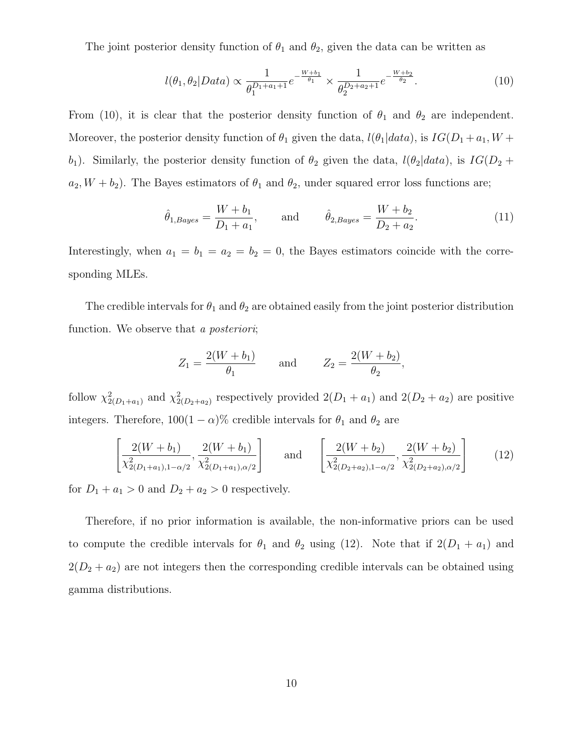The joint posterior density function of  $\theta_1$  and  $\theta_2$ , given the data can be written as

$$
l(\theta_1, \theta_2 | Data) \propto \frac{1}{\theta_1^{D_1 + a_1 + 1}} e^{-\frac{W + b_1}{\theta_1}} \times \frac{1}{\theta_2^{D_2 + a_2 + 1}} e^{-\frac{W + b_2}{\theta_2}}.
$$
 (10)

From (10), it is clear that the posterior density function of  $\theta_1$  and  $\theta_2$  are independent. Moreover, the posterior density function of  $\theta_1$  given the data,  $l(\theta_1|data)$ , is  $IG(D_1 + a_1, W +$ b<sub>1</sub>). Similarly, the posterior density function of  $\theta_2$  given the data,  $l(\theta_2|data)$ , is  $IG(D_2 +$  $a_2, W + b_2$ ). The Bayes estimators of  $\theta_1$  and  $\theta_2$ , under squared error loss functions are;

$$
\hat{\theta}_{1,Bayes} = \frac{W + b_1}{D_1 + a_1},
$$
 and  $\hat{\theta}_{2,Bayes} = \frac{W + b_2}{D_2 + a_2}.$  (11)

Interestingly, when  $a_1 = b_1 = a_2 = b_2 = 0$ , the Bayes estimators coincide with the corresponding MLEs.

The credible intervals for  $\theta_1$  and  $\theta_2$  are obtained easily from the joint posterior distribution function. We observe that a *posteriori*;

$$
Z_1 = \frac{2(W + b_1)}{\theta_1}
$$
 and  $Z_2 = \frac{2(W + b_2)}{\theta_2}$ ,

follow  $\chi^2_{2(D_1+a_1)}$  and  $\chi^2_{2(D_2+a_2)}$  respectively provided  $2(D_1+a_1)$  and  $2(D_2+a_2)$  are positive integers. Therefore,  $100(1 - \alpha)\%$  credible intervals for  $\theta_1$  and  $\theta_2$  are

$$
\left[\frac{2(W+b_1)}{\chi_{2(D_1+a_1),1-\alpha/2}^2}, \frac{2(W+b_1)}{\chi_{2(D_1+a_1),\alpha/2}^2}\right] \quad \text{and} \quad \left[\frac{2(W+b_2)}{\chi_{2(D_2+a_2),1-\alpha/2}^2}, \frac{2(W+b_2)}{\chi_{2(D_2+a_2),\alpha/2}^2}\right] \quad (12)
$$

for  $D_1 + a_1 > 0$  and  $D_2 + a_2 > 0$  respectively.

Therefore, if no prior information is available, the non-informative priors can be used to compute the credible intervals for  $\theta_1$  and  $\theta_2$  using (12). Note that if  $2(D_1 + a_1)$  and  $2(D_2 + a_2)$  are not integers then the corresponding credible intervals can be obtained using gamma distributions.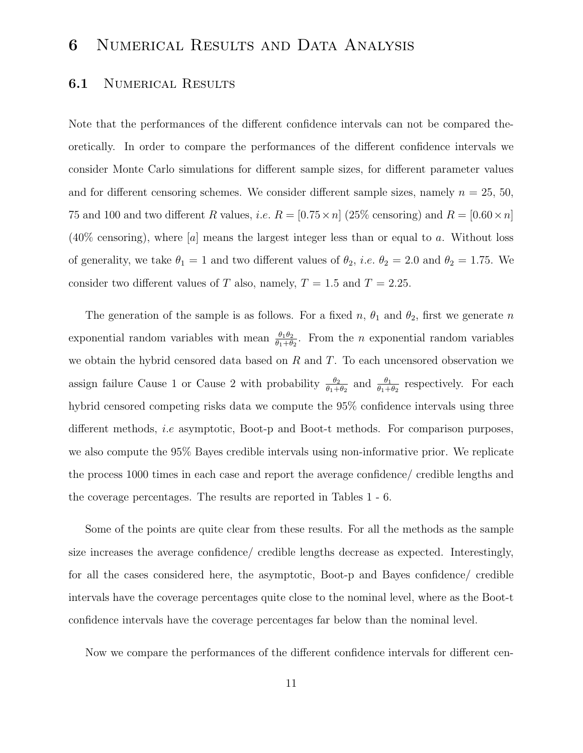# 6 Numerical Results and Data Analysis

#### **6.1** NUMERICAL RESULTS

Note that the performances of the different confidence intervals can not be compared theoretically. In order to compare the performances of the different confidence intervals we consider Monte Carlo simulations for different sample sizes, for different parameter values and for different censoring schemes. We consider different sample sizes, namely  $n = 25, 50$ , 75 and 100 and two different R values, i.e.  $R = [0.75 \times n]$  (25% censoring) and  $R = [0.60 \times n]$  $(40\%$  censoring), where [a] means the largest integer less than or equal to a. Without loss of generality, we take  $\theta_1 = 1$  and two different values of  $\theta_2$ , *i.e.*  $\theta_2 = 2.0$  and  $\theta_2 = 1.75$ . We consider two different values of T also, namely,  $T = 1.5$  and  $T = 2.25$ .

The generation of the sample is as follows. For a fixed  $n$ ,  $\theta_1$  and  $\theta_2$ , first we generate n exponential random variables with mean  $\frac{\theta_1 \theta_2}{\theta_1 + \theta_2}$ . From the *n* exponential random variables we obtain the hybrid censored data based on  $R$  and  $T$ . To each uncensored observation we assign failure Cause 1 or Cause 2 with probability  $\frac{\theta_2}{\theta_1 + \theta_2}$  $\frac{\theta_2}{\theta_1+\theta_2}$  and  $\frac{\theta_1}{\theta_1+\theta_2}$  respectively. For each hybrid censored competing risks data we compute the 95% confidence intervals using three different methods, i.e asymptotic, Boot-p and Boot-t methods. For comparison purposes, we also compute the 95% Bayes credible intervals using non-informative prior. We replicate the process 1000 times in each case and report the average confidence/ credible lengths and the coverage percentages. The results are reported in Tables 1 - 6.

Some of the points are quite clear from these results. For all the methods as the sample size increases the average confidence/ credible lengths decrease as expected. Interestingly, for all the cases considered here, the asymptotic, Boot-p and Bayes confidence/ credible intervals have the coverage percentages quite close to the nominal level, where as the Boot-t confidence intervals have the coverage percentages far below than the nominal level.

Now we compare the performances of the different confidence intervals for different cen-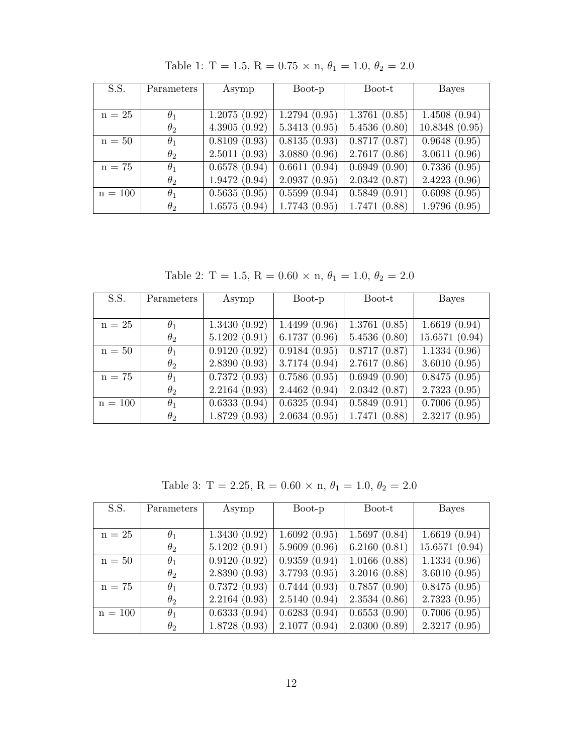| S.S.      | Parameters | Asymp        | Boot-p                     | Boot-t                     | <b>Bayes</b>                 |
|-----------|------------|--------------|----------------------------|----------------------------|------------------------------|
|           |            |              |                            |                            |                              |
| $n = 25$  | $\theta_1$ | 1.2075(0.92) | 1.2794(0.95)               | 1.3761(0.85)               | 1.4508(0.94)                 |
|           | $\theta_2$ | 4.3905(0.92) | 5.3413(0.95)               | 5.4536(0.80)               | 10.8348(0.95)                |
| $n = 50$  | $\theta_1$ | 0.8109(0.93) | $\overline{0.8135}$ (0.93) | $\overline{0.8717}$ (0.87) | 0.9648(0.95)                 |
|           | $\theta_2$ | 2.5011(0.93) | 3.0880(0.96)               | 2.7617(0.86)               | 3.0611(0.96)                 |
| $n = 75$  | $\theta_1$ | 0.6578(0.94) | 0.6611(0.94)               | 0.6949(0.90)               | 0.7336(0.95)                 |
|           | $\theta_2$ | 1.9472(0.94) | 2.0937(0.95)               | 2.0342(0.87)               | 2.4223(0.96)                 |
| $n = 100$ | $\theta_1$ | 0.5635(0.95) | 0.5599(0.94)               | 0.5849(0.91)               | $\overline{0.6098}$ $(0.95)$ |
|           | $\theta_2$ | 1.6575(0.94) | 1.7743(0.95)               | 1.7471(0.88)               | 1.9796(0.95)                 |

Table 1: T = 1.5, R = 0.75  $\times$  n,  $\theta_1$  = 1.0,  $\theta_2$  = 2.0

Table 2: T = 1.5, R = 0.60  $\times$  n,  $\theta_1$  = 1.0,  $\theta_2$  = 2.0

| $\overline{\mathrm{S.S.}}$ | Parameters | Asymp        | Boot-p       | Boot-t       | Bayes         |
|----------------------------|------------|--------------|--------------|--------------|---------------|
|                            |            |              |              |              |               |
| $n = 25$                   | $\theta_1$ | 1.3430(0.92) | 1.4499(0.96) | 1.3761(0.85) | 1.6619(0.94)  |
|                            | $\theta_2$ | 5.1202(0.91) | 6.1737(0.96) | 5.4536(0.80) | 15.6571(0.94) |
| $n = 50$                   | $\theta_1$ | 0.9120(0.92) | 0.9184(0.95) | 0.8717(0.87) | 1.1334(0.96)  |
|                            | $\theta_2$ | 2.8390(0.93) | 3.7174(0.94) | 2.7617(0.86) | 3.6010(0.95)  |
| $n = 75$                   | $\theta_1$ | 0.7372(0.93) | 0.7586(0.95) | 0.6949(0.90) | 0.8475(0.95)  |
|                            | $\theta_2$ | 2.2164(0.93) | 2.4462(0.94) | 2.0342(0.87) | 2.7323(0.95)  |
| $n = 100$                  | $\theta_1$ | 0.6333(0.94) | 0.6325(0.94) | 0.5849(0.91) | 0.7006(0.95)  |
|                            | $\theta_2$ | 1.8729(0.93) | 2.0634(0.95) | 1.7471(0.88) | 2.3217(0.95)  |

Table 3: T = 2.25, R = 0.60  $\times$  n,  $\theta_1$  = 1.0,  $\theta_2$  = 2.0

| S.S.      | Parameters | Asymp        | Boot-p       | Boot-t       | <b>Bayes</b>  |
|-----------|------------|--------------|--------------|--------------|---------------|
|           |            |              |              |              |               |
| $n = 25$  | $\theta_1$ | 1.3430(0.92) | 1.6092(0.95) | 1.5697(0.84) | 1.6619(0.94)  |
|           | $\theta_2$ | 5.1202(0.91) | 5.9609(0.96) | 6.2160(0.81) | 15.6571(0.94) |
| $n = 50$  | $\theta_1$ | 0.9120(0.92) | 0.9359(0.94) | 1.0166(0.88) | 1.1334(0.96)  |
|           | $\theta_2$ | 2.8390(0.93) | 3.7793(0.95) | 3.2016(0.88) | 3.6010(0.95)  |
| $n = 75$  | $\theta_1$ | 0.7372(0.93) | 0.7444(0.93) | 0.7857(0.90) | 0.8475(0.95)  |
|           | $\theta_2$ | 2.2164(0.93) | 2.5140(0.94) | 2.3534(0.86) | 2.7323(0.95)  |
| $n = 100$ | $\theta_1$ | 0.6333(0.94) | 0.6283(0.94) | 0.6553(0.90) | 0.7006(0.95)  |
|           | $\theta_2$ | 1.8728(0.93) | 2.1077(0.94) | 2.0300(0.89) | 2.3217(0.95)  |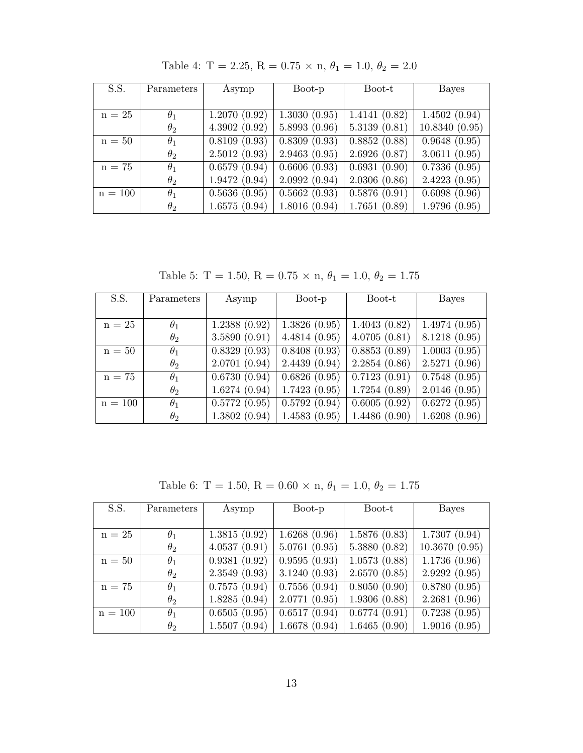| S.S.      | Parameters | Asymp        | Boot-p                       | Boot-t                     | Bayes                      |
|-----------|------------|--------------|------------------------------|----------------------------|----------------------------|
|           |            |              |                              |                            |                            |
| $n = 25$  | $\theta_1$ | 1.2070(0.92) | 1.3030(0.95)                 | $\overline{1.4141}$ (0.82) | 1.4502(0.94)               |
|           | $\theta_2$ | 4.3902(0.92) | 5.8993(0.96)                 | 5.3139(0.81)               | 10.8340(0.95)              |
| $n = 50$  | $\theta_1$ | 0.8109(0.93) | 0.8309(0.93)                 | 0.8852(0.88)               | 0.9648(0.95)               |
|           | $\theta_2$ | 2.5012(0.93) | 2.9463(0.95)                 | 2.6926(0.87)               | 3.0611(0.95)               |
| $n = 75$  | $\theta_1$ | 0.6579(0.94) | $\overline{0.6606}$ (0.93)   | 0.6931(0.90)               | $\overline{0.7336}$ (0.95) |
|           | $\theta_2$ | 1.9472(0.94) | 2.0992(0.94)                 | 2.0306(0.86)               | 2.4223(0.95)               |
| $n = 100$ | $\theta_1$ | 0.5636(0.95) | $\overline{0.5662}$ $(0.93)$ | 0.5876(0.91)               | $\overline{0.6098}$ (0.96) |
|           | $\theta_2$ | 1.6575(0.94) | 1.8016(0.94)                 | 1.7651(0.89)               | 1.9796(0.95)               |

Table 4: T = 2.25, R = 0.75  $\times$  n,  $\theta_1$  = 1.0,  $\theta_2$  = 2.0

Table 5: T = 1.50, R = 0.75  $\times$  n,  $\theta_1$  = 1.0,  $\theta_2$  = 1.75

| S.S.      | Parameters | Asymp        | Boot-p       | Boot-t       | Bayes                      |
|-----------|------------|--------------|--------------|--------------|----------------------------|
|           |            |              |              |              |                            |
| $n = 25$  | $\theta_1$ | 1.2388(0.92) | 1.3826(0.95) | 1.4043(0.82) | 1.4974(0.95)               |
|           | $\theta_2$ | 3.5890(0.91) | 4.4814(0.95) | 4.0705(0.81) | 8.1218(0.95)               |
| $n = 50$  | $\theta_1$ | 0.8329(0.93) | 0.8408(0.93) | 0.8853(0.89) | 1.0003(0.95)               |
|           | $\theta_2$ | 2.0701(0.94) | 2.4439(0.94) | 2.2854(0.86) | 2.5271(0.96)               |
| $n = 75$  | $\theta_1$ | 0.6730(0.94) | 0.6826(0.95) | 0.7123(0.91) | $\overline{0.7548}$ (0.95) |
|           | $\theta_2$ | 1.6274(0.94) | 1.7423(0.95) | 1.7254(0.89) | 2.0146(0.95)               |
| $n = 100$ | $\theta_1$ | 0.5772(0.95) | 0.5792(0.94) | 0.6005(0.92) | 0.6272(0.95)               |
|           | $\theta_2$ | 1.3802(0.94) | 1.4583(0.95) | 1.4486(0.90) | 1.6208(0.96)               |

Table 6: T = 1.50, R = 0.60 × n,  $\theta_1$  = 1.0,  $\theta_2$  = 1.75

| S.S.      | Parameters | Asymp        | Boot-p       | Boot-t       | <b>Bayes</b>  |
|-----------|------------|--------------|--------------|--------------|---------------|
|           |            |              |              |              |               |
| $n = 25$  | $\theta_1$ | 1.3815(0.92) | 1.6268(0.96) | 1.5876(0.83) | 1.7307(0.94)  |
|           | $\theta_2$ | 4.0537(0.91) | 5.0761(0.95) | 5.3880(0.82) | 10.3670(0.95) |
| $n = 50$  | $\theta_1$ | 0.9381(0.92) | 0.9595(0.93) | 1.0573(0.88) | 1.1736(0.96)  |
|           | $\theta_2$ | 2.3549(0.93) | 3.1240(0.93) | 2.6570(0.85) | 2.9292(0.95)  |
| $n = 75$  | $\theta_1$ | 0.7575(0.94) | 0.7556(0.94) | 0.8050(0.90) | 0.8780(0.95)  |
|           | $\theta_2$ | 1.8285(0.94) | 2.0771(0.95) | 1.9306(0.88) | 2.2681(0.96)  |
| $n = 100$ | $\theta_1$ | 0.6505(0.95) | 0.6517(0.94) | 0.6774(0.91) | 0.7238(0.95)  |
|           | $\theta_2$ | 1.5507(0.94) | 1.6678(0.94) | 1.6465(0.90) | 1.9016(0.95)  |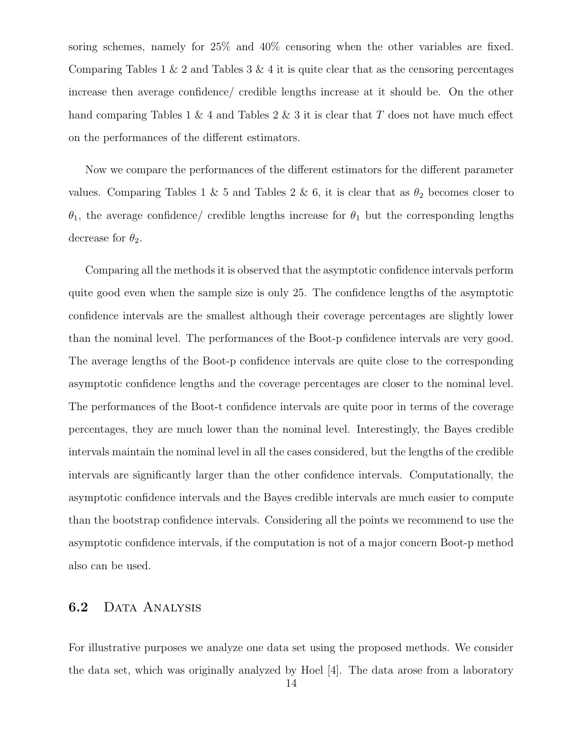soring schemes, namely for 25% and 40% censoring when the other variables are fixed. Comparing Tables  $1 \& 2$  and Tables  $3 \& 4$  it is quite clear that as the censoring percentages increase then average confidence/ credible lengths increase at it should be. On the other hand comparing Tables 1 & 4 and Tables 2 & 3 it is clear that  $T$  does not have much effect on the performances of the different estimators.

Now we compare the performances of the different estimators for the different parameter values. Comparing Tables 1 & 5 and Tables 2 & 6, it is clear that as  $\theta_2$  becomes closer to  $\theta_1$ , the average confidence/ credible lengths increase for  $\theta_1$  but the corresponding lengths decrease for  $\theta_2$ .

Comparing all the methods it is observed that the asymptotic confidence intervals perform quite good even when the sample size is only 25. The confidence lengths of the asymptotic confidence intervals are the smallest although their coverage percentages are slightly lower than the nominal level. The performances of the Boot-p confidence intervals are very good. The average lengths of the Boot-p confidence intervals are quite close to the corresponding asymptotic confidence lengths and the coverage percentages are closer to the nominal level. The performances of the Boot-t confidence intervals are quite poor in terms of the coverage percentages, they are much lower than the nominal level. Interestingly, the Bayes credible intervals maintain the nominal level in all the cases considered, but the lengths of the credible intervals are significantly larger than the other confidence intervals. Computationally, the asymptotic confidence intervals and the Bayes credible intervals are much easier to compute than the bootstrap confidence intervals. Considering all the points we recommend to use the asymptotic confidence intervals, if the computation is not of a major concern Boot-p method also can be used.

### 6.2 DATA ANALYSIS

For illustrative purposes we analyze one data set using the proposed methods. We consider the data set, which was originally analyzed by Hoel [4]. The data arose from a laboratory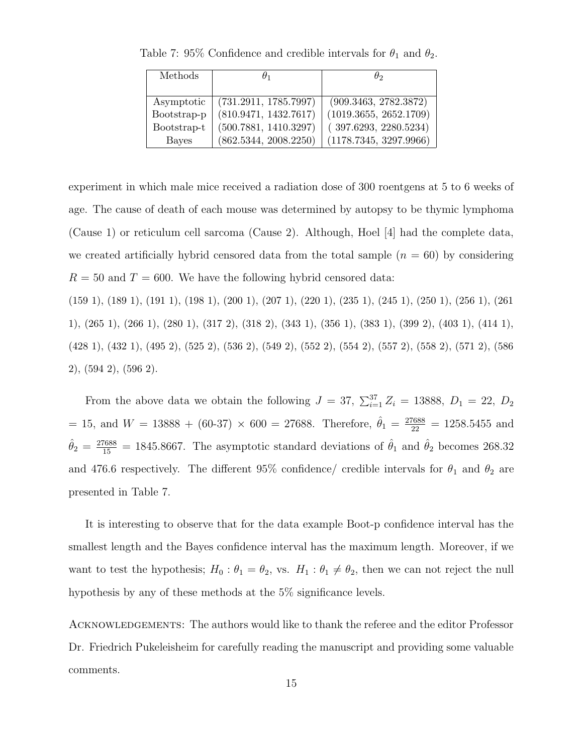| Methods      |                       | θο                     |  |
|--------------|-----------------------|------------------------|--|
|              |                       |                        |  |
| Asymptotic   | (731.2911, 1785.7997) | (909.3463, 2782.3872)  |  |
| Bootstrap-p  | (810.9471, 1432.7617) | (1019.3655, 2652.1709) |  |
| Bootstrap-t  | (500.7881, 1410.3297) | (397.6293, 2280.5234)  |  |
| <b>Bayes</b> | (862.5344, 2008.2250) | (1178.7345, 3297.9966) |  |

Table 7: 95% Confidence and credible intervals for  $\theta_1$  and  $\theta_2$ .

experiment in which male mice received a radiation dose of 300 roentgens at 5 to 6 weeks of age. The cause of death of each mouse was determined by autopsy to be thymic lymphoma (Cause 1) or reticulum cell sarcoma (Cause 2). Although, Hoel [4] had the complete data, we created artificially hybrid censored data from the total sample  $(n = 60)$  by considering  $R = 50$  and  $T = 600$ . We have the following hybrid censored data:

(159 1), (189 1), (191 1), (198 1), (200 1), (207 1), (220 1), (235 1), (245 1), (250 1), (256 1), (261 1), (265 1), (266 1), (280 1), (317 2), (318 2), (343 1), (356 1), (383 1), (399 2), (403 1), (414 1), (428 1), (432 1), (495 2), (525 2), (536 2), (549 2), (552 2), (554 2), (557 2), (558 2), (571 2), (586 2), (594 2), (596 2).

From the above data we obtain the following  $J = 37$ ,  $\sum_{i=1}^{37} Z_i = 13888$ ,  $D_1 = 22$ ,  $D_2$  $= 15$ , and  $W = 13888 + (60-37) \times 600 = 27688$ . Therefore,  $\hat{\theta}_1 = \frac{27688}{22} = 1258.5455$  and  $\hat{\theta}_2 = \frac{27688}{15} = 1845.8667$ . The asymptotic standard deviations of  $\hat{\theta}_1$  and  $\hat{\theta}_2$  becomes 268.32 and 476.6 respectively. The different 95% confidence/ credible intervals for  $\theta_1$  and  $\theta_2$  are presented in Table 7.

It is interesting to observe that for the data example Boot-p confidence interval has the smallest length and the Bayes confidence interval has the maximum length. Moreover, if we want to test the hypothesis;  $H_0: \theta_1 = \theta_2$ , vs.  $H_1: \theta_1 \neq \theta_2$ , then we can not reject the null hypothesis by any of these methods at the 5% significance levels.

ACKNOWLEDGEMENTS: The authors would like to thank the referee and the editor Professor Dr. Friedrich Pukeleisheim for carefully reading the manuscript and providing some valuable comments.